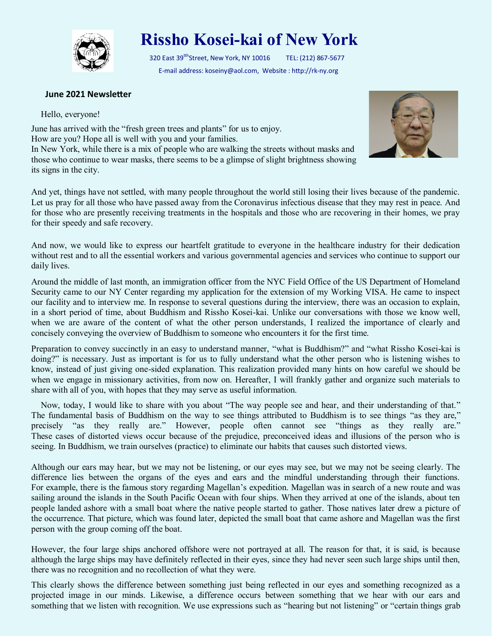

## **Rissho Kosei-kai of New York**

320 East 39<sup>tth</sup>Street, New York, NY 10016 TEL: (212) 867-5677 E-mail address: koseiny@aol.com, Website : http://rk-ny.org

## **June 2021 Newsletter**

Hello, everyone!

June has arrived with the "fresh green trees and plants" for us to enjoy. How are you? Hope all is well with you and your families. In New York, while there is a mix of people who are walking the streets without masks and those who continue to wear masks, there seems to be a glimpse of slight brightness showing its signs in the city.



And yet, things have not settled, with many people throughout the world still losing their lives because of the pandemic. Let us pray for all those who have passed away from the Coronavirus infectious disease that they may rest in peace. And for those who are presently receiving treatments in the hospitals and those who are recovering in their homes, we pray for their speedy and safe recovery.

And now, we would like to express our heartfelt gratitude to everyone in the healthcare industry for their dedication without rest and to all the essential workers and various governmental agencies and services who continue to support our daily lives.

Around the middle of last month, an immigration officer from the NYC Field Office of the US Department of Homeland Security came to our NY Center regarding my application for the extension of my Working VISA. He came to inspect our facility and to interview me. In response to several questions during the interview, there was an occasion to explain, in a short period of time, about Buddhism and Rissho Kosei-kai. Unlike our conversations with those we know well, when we are aware of the content of what the other person understands, I realized the importance of clearly and concisely conveying the overview of Buddhism to someone who encounters it for the first time.

Preparation to convey succinctly in an easy to understand manner, "what is Buddhism?" and "what Rissho Kosei-kai is doing?" is necessary. Just as important is for us to fully understand what the other person who is listening wishes to know, instead of just giving one-sided explanation. This realization provided many hints on how careful we should be when we engage in missionary activities, from now on. Hereafter, I will frankly gather and organize such materials to share with all of you, with hopes that they may serve as useful information.

 Now, today, I would like to share with you about "The way people see and hear, and their understanding of that." The fundamental basis of Buddhism on the way to see things attributed to Buddhism is to see things "as they are," precisely "as they really are." However, people often cannot see "things as they really are." These cases of distorted views occur because of the prejudice, preconceived ideas and illusions of the person who is seeing. In Buddhism, we train ourselves (practice) to eliminate our habits that causes such distorted views.

Although our ears may hear, but we may not be listening, or our eyes may see, but we may not be seeing clearly. The difference lies between the organs of the eyes and ears and the mindful understanding through their functions. For example, there is the famous story regarding Magellan's expedition. Magellan was in search of a new route and was sailing around the islands in the South Pacific Ocean with four ships. When they arrived at one of the islands, about ten people landed ashore with a small boat where the native people started to gather. Those natives later drew a picture of the occurrence. That picture, which was found later, depicted the small boat that came ashore and Magellan was the first person with the group coming off the boat.

However, the four large ships anchored offshore were not portrayed at all. The reason for that, it is said, is because although the large ships may have definitely reflected in their eyes, since they had never seen such large ships until then, there was no recognition and no recollection of what they were.

This clearly shows the difference between something just being reflected in our eyes and something recognized as a projected image in our minds. Likewise, a difference occurs between something that we hear with our ears and something that we listen with recognition. We use expressions such as "hearing but not listening" or "certain things grab